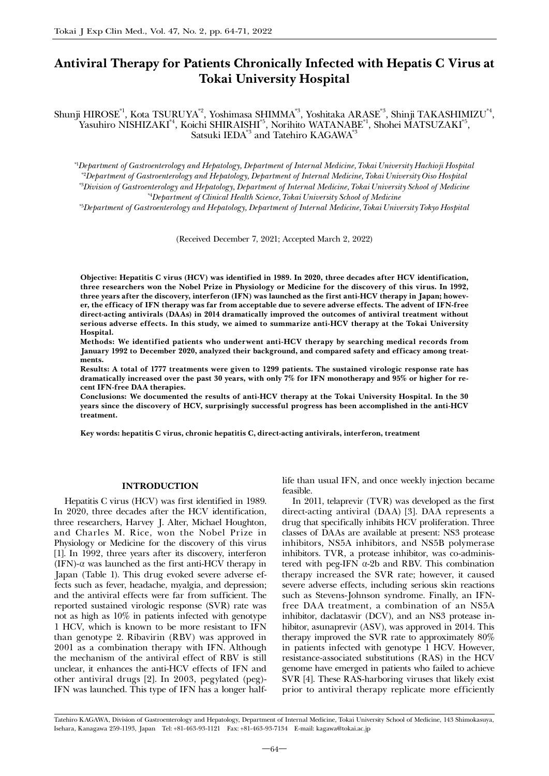# Antiviral Therapy for Patients Chronically Infected with Hepatis C Virus at Tokai University Hospital

Shunji HIROSE\*1, Kota TSURUYA\*2, Yoshimasa SHIMMA\*3, Yoshitaka ARASE\*3, Shinji TAKASHIMIZU\*4, Yasuhiro NISHIZAKI<sup>\*4</sup>, Koichi SHIRAISHI<sup>\*5</sup>, Norihito WATANABE<sup>\*1</sup>, Shohei MATSUZAKI<sup>\*5</sup>, Satsuki IEDA<sup>\*3</sup> and Tatehiro KAGAWA<sup>\*3</sup>

*\**1 *Department of Gastroenterology and Hepatology, Department of Internal Medicine, Tokai University Hachioji Hospital \**2 *Department of Gastroenterology and Hepatology, Department of Internal Medicine, Tokai University Oiso Hospital \**3 *Division of Gastroenterology and Hepatology, Department of Internal Medicine, Tokai University School of Medicine \**4 *Department of Clinical Health Science, Tokai University School of Medicine*

*\**5 *Department of Gastroenterology and Hepatology, Department of Internal Medicine, Tokai University Tokyo Hospital*

(Received December 7, 2021; Accepted March 2, 2022)

Objective: Hepatitis C virus (HCV) was identified in 1989. In 2020, three decades after HCV identification, three researchers won the Nobel Prize in Physiology or Medicine for the discovery of this virus. In 1992, three years after the discovery, interferon (IFN) was launched as the first anti-HCV therapy in Japan; however, the efficacy of IFN therapy was far from acceptable due to severe adverse effects. The advent of IFN-free direct-acting antivirals (DAAs) in 2014 dramatically improved the outcomes of antiviral treatment without serious adverse effects. In this study, we aimed to summarize anti-HCV therapy at the Tokai University Hospital.

Methods: We identified patients who underwent anti-HCV therapy by searching medical records from January 1992 to December 2020, analyzed their background, and compared safety and efficacy among treatments.

Results: A total of 1777 treatments were given to 1299 patients. The sustained virologic response rate has dramatically increased over the past 30 years, with only 7% for IFN monotherapy and 95% or higher for recent IFN-free DAA therapies.

Conclusions: We documented the results of anti-HCV therapy at the Tokai University Hospital. In the 30 years since the discovery of HCV, surprisingly successful progress has been accomplished in the anti-HCV treatment.

Key words: hepatitis C virus, chronic hepatitis C, direct-acting antivirals, interferon, treatment

## INTRODUCTION

Hepatitis C virus (HCV) was first identified in 1989. In 2020, three decades after the HCV identification, three researchers, Harvey J. Alter, Michael Houghton, and Charles M. Rice, won the Nobel Prize in Physiology or Medicine for the discovery of this virus [1]. In 1992, three years after its discovery, interferon  $(IFN)$ - $\alpha$  was launched as the first anti-HCV therapy in Japan (Table 1). This drug evoked severe adverse effects such as fever, headache, myalgia, and depression; and the antiviral effects were far from sufficient. The reported sustained virologic response (SVR) rate was not as high as 10% in patients infected with genotype 1 HCV, which is known to be more resistant to IFN than genotype 2. Ribavirin (RBV) was approved in 2001 as a combination therapy with IFN. Although the mechanism of the antiviral effect of RBV is still unclear, it enhances the anti-HCV effects of IFN and other antiviral drugs [2]. In 2003, pegylated (peg)- IFN was launched. This type of IFN has a longer halflife than usual IFN, and once weekly injection became feasible.

In 2011, telaprevir (TVR) was developed as the first direct-acting antiviral (DAA) [3]. DAA represents a drug that specifically inhibits HCV proliferation. Three classes of DAAs are available at present: NS3 protease inhibitors, NS5A inhibitors, and NS5B polymerase inhibitors. TVR, a protease inhibitor, was co-administered with peg-IFN  $\alpha$ -2b and RBV. This combination therapy increased the SVR rate; however, it caused severe adverse effects, including serious skin reactions such as Stevens-Johnson syndrome. Finally, an IFNfree DAA treatment, a combination of an NS5A inhibitor, daclatasvir (DCV), and an NS3 protease inhibitor, asunaprevir (ASV), was approved in 2014. This therapy improved the SVR rate to approximately 80% in patients infected with genotype 1 HCV. However, resistance-associated substitutions (RAS) in the HCV genome have emerged in patients who failed to achieve SVR [4]. These RAS-harboring viruses that likely exist prior to antiviral therapy replicate more efficiently

Tatehiro KAGAWA, Division of Gastroenterology and Hepatology, Department of Internal Medicine, Tokai University School of Medicine, 143 Shimokasuya, Isehara, Kanagawa 259-1193, Japan Tel: +81-463-93-1121 Fax: +81-463-93-7134 E-mail: kagawa@tokai.ac.jp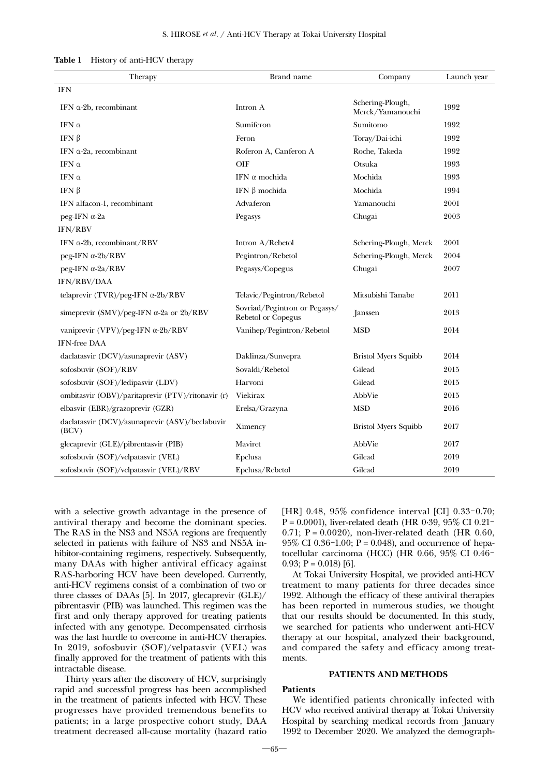| Table 1<br>History of anti-HCV therapy |
|----------------------------------------|
|----------------------------------------|

| Therapy                                                 | Brand name                                          | Company                              | Launch year |
|---------------------------------------------------------|-----------------------------------------------------|--------------------------------------|-------------|
| <b>IFN</b>                                              |                                                     |                                      |             |
| IFN $\alpha$ -2b, recombinant                           | Intron A                                            | Schering-Plough,<br>Merck/Yamanouchi | 1992        |
| IFN $\alpha$                                            | Sumiferon                                           | Sumitomo                             | 1992        |
| IFN $\beta$                                             | Feron                                               | Toray/Dai-ichi                       | 1992        |
| IFN $\alpha$ -2a, recombinant                           | Roferon A, Canferon A                               | Roche, Takeda                        | 1992        |
| IFN $\alpha$                                            | OIF                                                 | Otsuka                               | 1993        |
| IFN $\alpha$                                            | IFN $\alpha$ mochida                                | Mochida                              | 1993        |
| IFN $\beta$                                             | IFN β mochida                                       | Mochida                              | 1994        |
| IFN alfacon-1, recombinant                              | Advaferon                                           | Yamanouchi                           | 2001        |
| peg-IFN α-2a                                            | Pegasys                                             | Chugai                               | 2003        |
| IFN/RBV                                                 |                                                     |                                      |             |
| IFN $\alpha$ -2b, recombinant/RBV                       | Intron A/Rebetol                                    | Schering-Plough, Merck               | 2001        |
| $peg-IFN \alpha-2b/RBV$                                 | Pegintron/Rebetol                                   | Schering-Plough, Merck               | 2004        |
| peg-IFN α-2a/RBV                                        | Pegasys/Copegus                                     | Chugai                               | 2007        |
| IFN/RBV/DAA                                             |                                                     |                                      |             |
| telaprevir $(TVR)/\text{peg-IFN} \alpha-2b/RBV$         | Telavic/Pegintron/Rebetol                           | Mitsubishi Tanabe                    | 2011        |
| simeprevir $(SMV)/\text{peg-IFN} \alpha$ -2a or 2b/RBV  | Sovriad/Pegintron or Pegasys/<br>Rebetol or Copegus | <i>Janssen</i>                       | 2013        |
| vaniprevir (VPV)/peg-IFN $\alpha$ -2b/RBV               | Vanihep/Pegintron/Rebetol                           | <b>MSD</b>                           | 2014        |
| <b>IFN-free DAA</b>                                     |                                                     |                                      |             |
| daclatasvir (DCV)/asunaprevir (ASV)                     | Daklinza/Sunvepra                                   | <b>Bristol Myers Squibb</b>          | 2014        |
| sofosbuvir (SOF)/RBV                                    | Sovaldi/Rebetol                                     | Gilead                               | 2015        |
| sofosbuvir (SOF)/ledipasvir (LDV)                       | Harvoni                                             | Gilead                               | 2015        |
| ombitasvir (OBV)/paritaprevir (PTV)/ritonavir (r)       | Viekirax                                            | AbbVie                               | 2015        |
| elbasvir (EBR)/grazoprevir (GZR)                        | Erelsa/Grazyna                                      | <b>MSD</b>                           | 2016        |
| daclatasvir (DCV)/asunaprevir (ASV)/beclabuvir<br>(BCV) | Ximency                                             | <b>Bristol Myers Squibb</b>          | 2017        |
| glecaprevir (GLE)/pibrentasvir (PIB)                    | Maviret                                             | AbbVie                               | 2017        |
| sofosbuvir (SOF)/velpatasvir (VEL)                      | Epclusa                                             | Gilead                               | 2019        |
| sofosbuvir (SOF)/velpatasvir (VEL)/RBV                  | Epclusa/Rebetol                                     | Gilead                               | 2019        |

with a selective growth advantage in the presence of antiviral therapy and become the dominant species. The RAS in the NS3 and NS5A regions are frequently selected in patients with failure of NS3 and NS5A inhibitor-containing regimens, respectively. Subsequently, many DAAs with higher antiviral efficacy against RAS-harboring HCV have been developed. Currently, anti-HCV regimens consist of a combination of two or three classes of DAAs [5]. In 2017, glecaprevir (GLE)/ pibrentasvir (PIB) was launched. This regimen was the first and only therapy approved for treating patients infected with any genotype. Decompensated cirrhosis was the last hurdle to overcome in anti-HCV therapies. In 2019, sofosbuvir (SOF)/velpatasvir (VEL) was finally approved for the treatment of patients with this intractable disease.

Thirty years after the discovery of HCV, surprisingly rapid and successful progress has been accomplished in the treatment of patients infected with HCV. These progresses have provided tremendous benefits to patients; in a large prospective cohort study, DAA treatment decreased all-cause mortality (hazard ratio [HR] 0.48, 95% confidence interval [CI] 0.33-0.70;  $P = 0.0001$ ), liver-related death (HR 0.39, 95% CI 0.21-0.71;  $P = 0.0020$ ), non-liver-related death (HR 0.60, 95% CI 0.36-1.00;  $P = 0.048$ ), and occurrence of hepatocellular carcinoma (HCC) (HR 0.66, 95% CI 0.46- 0.93;  $P = 0.018$  [6].

At Tokai University Hospital, we provided anti-HCV treatment to many patients for three decades since 1992. Although the efficacy of these antiviral therapies has been reported in numerous studies, we thought that our results should be documented. In this study, we searched for patients who underwent anti-HCV therapy at our hospital, analyzed their background, and compared the safety and efficacy among treatments.

#### PATIENTS AND METHODS

#### Patients

We identified patients chronically infected with HCV who received antiviral therapy at Tokai University Hospital by searching medical records from January 1992 to December 2020. We analyzed the demograph-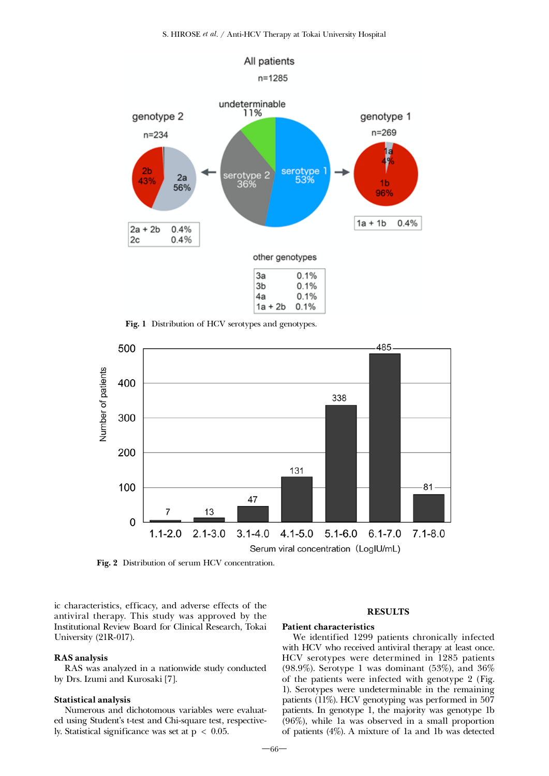

Fig. 1 Distribution of HCV serotypes and genotypes.



Fig. 2 Distribution of serum HCV concentration.

ic characteristics, efficacy, and adverse effects of the antiviral therapy. This study was approved by the Institutional Review Board for Clinical Research, Tokai University (21R-017).

# RAS analysis

RAS was analyzed in a nationwide study conducted by Drs. Izumi and Kurosaki [7].

# Statistical analysis

Numerous and dichotomous variables were evaluated using Student's t-test and Chi-square test, respectively. Statistical significance was set at  $p < 0.05$ .

# **RESULTS**

#### Patient characteristics

We identified 1299 patients chronically infected with HCV who received antiviral therapy at least once. HCV serotypes were determined in 1285 patients (98.9%). Serotype 1 was dominant (53%), and 36% of the patients were infected with genotype 2 (Fig. 1). Serotypes were undeterminable in the remaining patients (11%). HCV genotyping was performed in 507 patients. In genotype 1, the majority was genotype 1b (96%), while 1a was observed in a small proportion of patients (4%). A mixture of 1a and 1b was detected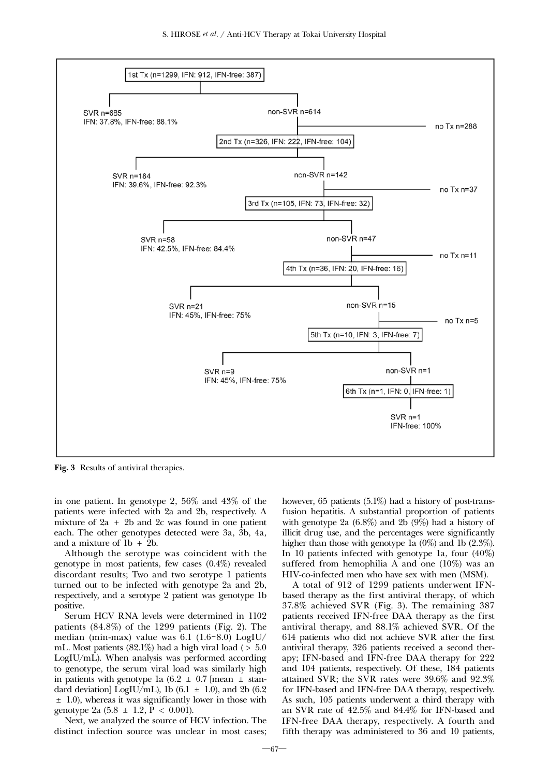

Fig. 3 Results of antiviral therapies.

in one patient. In genotype 2, 56% and 43% of the patients were infected with 2a and 2b, respectively. A mixture of  $2a + 2b$  and  $2c$  was found in one patient each. The other genotypes detected were 3a, 3b, 4a, and a mixture of 1b + 2b.

Although the serotype was coincident with the genotype in most patients, few cases (0.4%) revealed discordant results; Two and two serotype 1 patients turned out to be infected with genotype 2a and 2b, respectively, and a serotype 2 patient was genotype 1b positive.

Serum HCV RNA levels were determined in 1102 patients (84.8%) of the 1299 patients (Fig. 2). The median (min-max) value was 6.1 (1.6-8.0) LogIU/ mL. Most patients  $(82.1\%)$  had a high viral load ( $> 5.0$ ) LogIU/mL). When analysis was performed according to genotype, the serum viral load was similarly high in patients with genotype 1a  $(6.2 \pm 0.7)$  [mean  $\pm$  standard deviation] LogIU/mL), 1b (6.1  $\pm$  1.0), and 2b (6.2 ± 1.0), whereas it was significantly lower in those with genotype 2a  $(5.8 \pm 1.2, P < 0.001)$ .

Next, we analyzed the source of HCV infection. The distinct infection source was unclear in most cases; however, 65 patients (5.1%) had a history of post-transfusion hepatitis. A substantial proportion of patients with genotype 2a (6.8%) and 2b (9%) had a history of illicit drug use, and the percentages were significantly higher than those with genotype 1a (0%) and 1b (2.3%). In 10 patients infected with genotype 1a, four (40%) suffered from hemophilia A and one (10%) was an HIV-co-infected men who have sex with men (MSM).

A total of 912 of 1299 patients underwent IFNbased therapy as the first antiviral therapy, of which 37.8% achieved SVR (Fig. 3). The remaining 387 patients received IFN-free DAA therapy as the first antiviral therapy, and 88.1% achieved SVR. Of the 614 patients who did not achieve SVR after the first antiviral therapy, 326 patients received a second therapy; IFN-based and IFN-free DAA therapy for 222 and 104 patients, respectively. Of these, 184 patients attained SVR; the SVR rates were 39.6% and 92.3% for IFN-based and IFN-free DAA therapy, respectively. As such, 105 patients underwent a third therapy with an SVR rate of 42.5% and 84.4% for IFN-based and IFN-free DAA therapy, respectively. A fourth and fifth therapy was administered to 36 and 10 patients,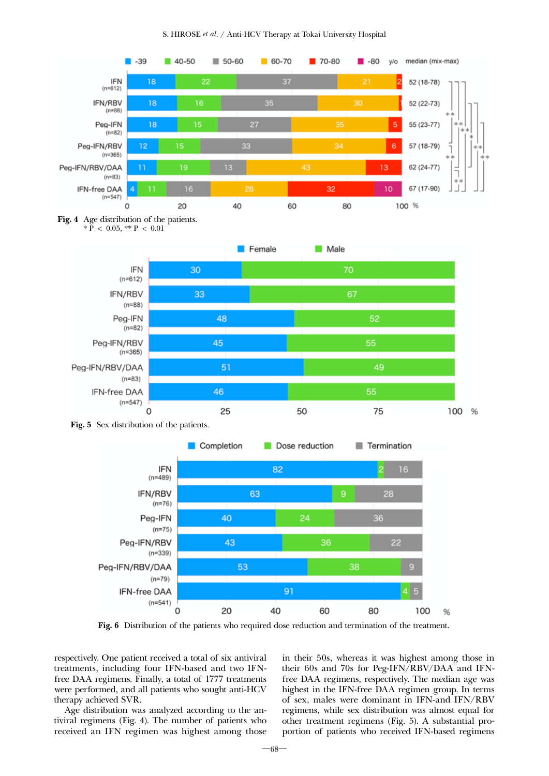









Fig. 6 Distribution of the patients who required dose reduction and termination of the treatment.

respectively. One patient received a total of six antiviral treatments, including four IFN-based and two IFNfree DAA regimens. Finally, a total of 1777 treatments were performed, and all patients who sought anti-HCV therapy achieved SVR.

Age distribution was analyzed according to the antiviral regimens (Fig. 4). The number of patients who received an IFN regimen was highest among those in their 50s, whereas it was highest among those in their 60s and 70s for Peg-IFN/RBV/DAA and IFNfree DAA regimens, respectively. The median age was highest in the IFN-free DAA regimen group. In terms of sex, males were dominant in IFN-and IFN/RBV regimens, while sex distribution was almost equal for other treatment regimens (Fig. 5). A substantial proportion of patients who received IFN-based regimens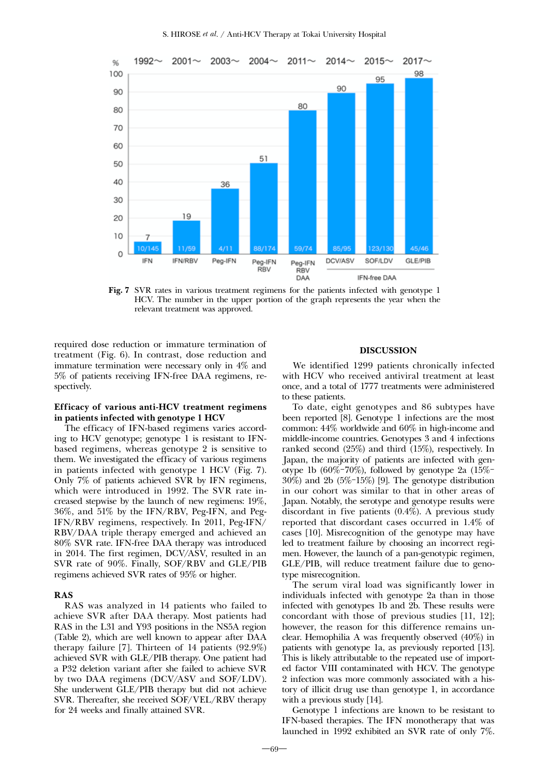

Fig. 7 SVR rates in various treatment regimens for the patients infected with genotype 1 HCV. The number in the upper portion of the graph represents the year when the relevant treatment was approved.

required dose reduction or immature termination of treatment (Fig. 6). In contrast, dose reduction and immature termination were necessary only in 4% and 5% of patients receiving IFN-free DAA regimens, respectively.

# Efficacy of various anti-HCV treatment regimens in patients infected with genotype 1 HCV

The efficacy of IFN-based regimens varies according to HCV genotype; genotype 1 is resistant to IFNbased regimens, whereas genotype 2 is sensitive to them. We investigated the efficacy of various regimens in patients infected with genotype 1 HCV (Fig. 7). Only 7% of patients achieved SVR by IFN regimens, which were introduced in 1992. The SVR rate increased stepwise by the launch of new regimens: 19%, 36%, and 51% by the IFN/RBV, Peg-IFN, and Peg-IFN/RBV regimens, respectively. In 2011, Peg-IFN/ RBV/DAA triple therapy emerged and achieved an 80% SVR rate. IFN-free DAA therapy was introduced in 2014. The first regimen, DCV/ASV, resulted in an SVR rate of 90%. Finally, SOF/RBV and GLE/PIB regimens achieved SVR rates of 95% or higher.

#### RAS

RAS was analyzed in 14 patients who failed to achieve SVR after DAA therapy. Most patients had RAS in the L31 and Y93 positions in the NS5A region (Table 2), which are well known to appear after DAA therapy failure [7]. Thirteen of 14 patients (92.9%) achieved SVR with GLE/PIB therapy. One patient had a P32 deletion variant after she failed to achieve SVR by two DAA regimens (DCV/ASV and SOF/LDV). She underwent GLE/PIB therapy but did not achieve SVR. Thereafter, she received SOF/VEL/RBV therapy for 24 weeks and finally attained SVR.

## DISCUSSION

We identified 1299 patients chronically infected with HCV who received antiviral treatment at least once, and a total of 1777 treatments were administered to these patients.

To date, eight genotypes and 86 subtypes have been reported [8]. Genotype 1 infections are the most common: 44% worldwide and 60% in high-income and middle-income countries. Genotypes 3 and 4 infections ranked second (25%) and third (15%), respectively. In Japan, the majority of patients are infected with genotype 1b  $(60\% - 70\%)$ , followed by genotype 2a  $(15\% -$ 30%) and 2b (5%-15%) [9]. The genotype distribution in our cohort was similar to that in other areas of Japan. Notably, the serotype and genotype results were discordant in five patients (0.4%). A previous study reported that discordant cases occurred in 1.4% of cases [10]. Misrecognition of the genotype may have led to treatment failure by choosing an incorrect regimen. However, the launch of a pan-genotypic regimen, GLE/PIB, will reduce treatment failure due to genotype misrecognition.

The serum viral load was significantly lower in individuals infected with genotype 2a than in those infected with genotypes 1b and 2b. These results were concordant with those of previous studies [11, 12]; however, the reason for this difference remains unclear. Hemophilia A was frequently observed (40%) in patients with genotype 1a, as previously reported [13]. This is likely attributable to the repeated use of imported factor VIII contaminated with HCV. The genotype 2 infection was more commonly associated with a history of illicit drug use than genotype 1, in accordance with a previous study [14].

Genotype 1 infections are known to be resistant to IFN-based therapies. The IFN monotherapy that was launched in 1992 exhibited an SVR rate of only 7%.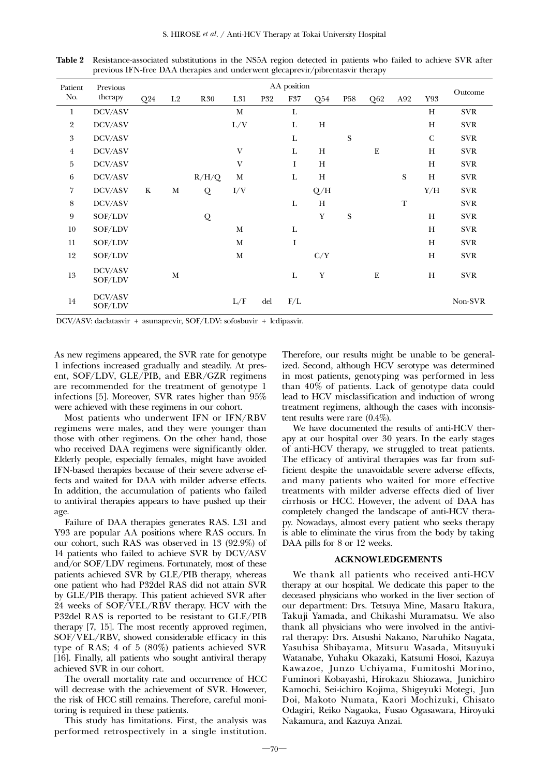| Patient          | Previous           |     |                | AA position |              |            |             |             |                 |           |           |              |                  |
|------------------|--------------------|-----|----------------|-------------|--------------|------------|-------------|-------------|-----------------|-----------|-----------|--------------|------------------|
| No.              | therapy            | Q24 | L <sub>2</sub> | <b>R30</b>  | L31          | <b>P32</b> | F37         | Q54         | P <sub>58</sub> | Q62       | A92       | Y93          | Outcome          |
| 1                | DCV/ASV            |     |                |             | M            |            | L           |             |                 |           |           | H            | <b>SVR</b>       |
| $\overline{2}$   | DCV/ASV            |     |                |             | $\rm L/V$    |            | L           | H           |                 |           |           | H            | <b>SVR</b>       |
| $\boldsymbol{3}$ | DCV/ASV            |     |                |             |              |            | L           |             | ${\bf S}$       |           |           | $\mathsf{C}$ | <b>SVR</b>       |
| $\overline{4}$   | DCV/ASV            |     |                |             | $\mathbf{V}$ |            | L           | H           |                 | ${\bf E}$ |           | H            | <b>SVR</b>       |
| 5                | DCV/ASV            |     |                |             | $\mathbf{V}$ |            | $\mathbf I$ | H           |                 |           |           | H            | <b>SVR</b>       |
| 6                | DCV/ASV            |     |                | R/H/Q       | M            |            | L           | H           |                 |           | ${\bf S}$ | H            | <b>SVR</b>       |
| 7                | DCV/ASV            | K   | M              | $\cal{Q}$   | I/V          |            |             | Q/H         |                 |           |           | Y/H          | <b>SVR</b>       |
| 8                | DCV/ASV            |     |                |             |              |            | L           | H           |                 |           | T         |              | <b>SVR</b>       |
| 9                | SOF/LDV            |     |                | Q           |              |            |             | Y           | ${\bf S}$       |           |           | H            | <b>SVR</b>       |
| $10\,$           | SOF/LDV            |     |                |             | M            |            | L           |             |                 |           |           | H            | <b>SVR</b>       |
| 11               | SOF/LDV            |     |                |             | M            |            | I           |             |                 |           |           | H            | <b>SVR</b>       |
| 12               | SOF/LDV            |     |                |             | M            |            |             | C/Y         |                 |           |           | H            | <b>SVR</b>       |
| 13               | DCV/ASV<br>SOF/LDV |     | $\mathbf M$    |             |              |            | L           | $\mathbf Y$ |                 | ${\bf E}$ |           | H            | <b>SVR</b>       |
| 14               | DCV/ASV<br>SOF/LDV |     |                |             | L/F          | del        | $\rm F/L$   |             |                 |           |           |              | $\mbox{Non-SVR}$ |

Table 2 Resistance-associated substitutions in the NS5A region detected in patients who failed to achieve SVR after previous IFN-free DAA therapies and underwent glecaprevir/pibrentasvir therapy

DCV/ASV: daclatasvir + asunaprevir, SOF/LDV: sofosbuvir + ledipasvir.

As new regimens appeared, the SVR rate for genotype 1 infections increased gradually and steadily. At present, SOF/LDV, GLE/PIB, and EBR/GZR regimens are recommended for the treatment of genotype 1 infections [5]. Moreover, SVR rates higher than 95% were achieved with these regimens in our cohort.

Most patients who underwent IFN or IFN/RBV regimens were males, and they were younger than those with other regimens. On the other hand, those who received DAA regimens were significantly older. Elderly people, especially females, might have avoided IFN-based therapies because of their severe adverse effects and waited for DAA with milder adverse effects. In addition, the accumulation of patients who failed to antiviral therapies appears to have pushed up their age.

Failure of DAA therapies generates RAS. L31 and Y93 are popular AA positions where RAS occurs. In our cohort, such RAS was observed in 13 (92.9%) of 14 patients who failed to achieve SVR by DCV/ASV and/or SOF/LDV regimens. Fortunately, most of these patients achieved SVR by GLE/PIB therapy, whereas one patient who had P32del RAS did not attain SVR by GLE/PIB therapy. This patient achieved SVR after 24 weeks of SOF/VEL/RBV therapy. HCV with the P32del RAS is reported to be resistant to GLE/PIB therapy [7, 15]. The most recently approved regimen, SOF/VEL/RBV, showed considerable efficacy in this type of RAS; 4 of 5 (80%) patients achieved SVR [16]. Finally, all patients who sought antiviral therapy achieved SVR in our cohort.

The overall mortality rate and occurrence of HCC will decrease with the achievement of SVR. However, the risk of HCC still remains. Therefore, careful monitoring is required in these patients.

This study has limitations. First, the analysis was performed retrospectively in a single institution.

Therefore, our results might be unable to be generalized. Second, although HCV serotype was determined in most patients, genotyping was performed in less than 40% of patients. Lack of genotype data could lead to HCV misclassification and induction of wrong treatment regimens, although the cases with inconsistent results were rare (0.4%).

We have documented the results of anti-HCV therapy at our hospital over 30 years. In the early stages of anti-HCV therapy, we struggled to treat patients. The efficacy of antiviral therapies was far from sufficient despite the unavoidable severe adverse effects, and many patients who waited for more effective treatments with milder adverse effects died of liver cirrhosis or HCC. However, the advent of DAA has completely changed the landscape of anti-HCV therapy. Nowadays, almost every patient who seeks therapy is able to eliminate the virus from the body by taking DAA pills for 8 or 12 weeks.

# ACKNOWLEDGEMENTS

We thank all patients who received anti-HCV therapy at our hospital. We dedicate this paper to the deceased physicians who worked in the liver section of our department: Drs. Tetsuya Mine, Masaru Itakura, Takuji Yamada, and Chikashi Muramatsu. We also thank all physicians who were involved in the antiviral therapy: Drs. Atsushi Nakano, Naruhiko Nagata, Yasuhisa Shibayama, Mitsuru Wasada, Mitsuyuki Watanabe, Yuhaku Okazaki, Katsumi Hosoi, Kazuya Kawazoe, Junzo Uchiyama, Fumitoshi Morino, Fuminori Kobayashi, Hirokazu Shiozawa, Junichiro Kamochi, Sei-ichiro Kojima, Shigeyuki Motegi, Jun Doi, Makoto Numata, Kaori Mochizuki, Chisato Odagiri, Reiko Nagaoka, Fusao Ogasawara, Hiroyuki Nakamura, and Kazuya Anzai.